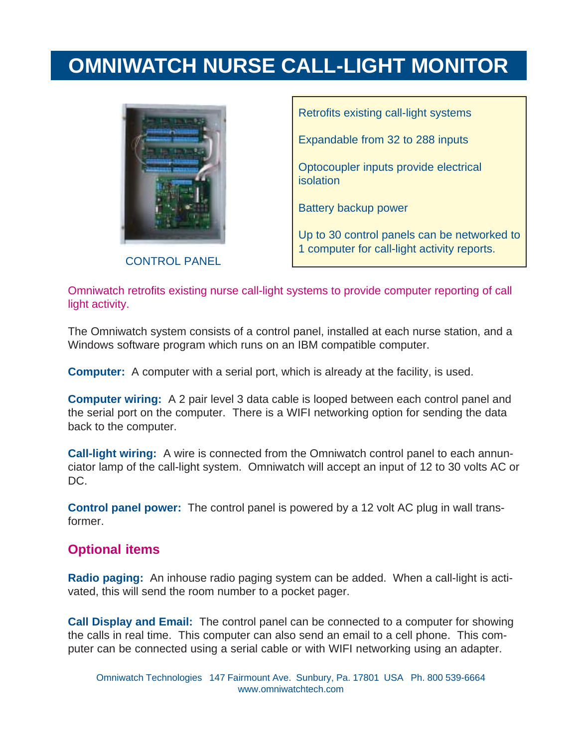## **OMNIWATCH NURSE CALL-LIGHT MONITOR**



CONTROL PANEL

Retrofits existing call-light systems Expandable from 32 to 288 inputs Optocoupler inputs provide electrical isolation Battery backup power Up to 30 control panels can be networked to 1 computer for call-light activity reports.

Omniwatch retrofits existing nurse call-light systems to provide computer reporting of call light activity.

The Omniwatch system consists of a control panel, installed at each nurse station, and a Windows software program which runs on an IBM compatible computer.

**Computer:** A computer with a serial port, which is already at the facility, is used.

**Computer wiring:** A 2 pair level 3 data cable is looped between each control panel and the serial port on the computer. There is a WIFI networking option for sending the data back to the computer.

**Call-light wiring:** A wire is connected from the Omniwatch control panel to each annunciator lamp of the call-light system. Omniwatch will accept an input of 12 to 30 volts AC or DC.

**Control panel power:** The control panel is powered by a 12 volt AC plug in wall transformer.

#### **Optional items**

**Radio paging:** An inhouse radio paging system can be added. When a call-light is activated, this will send the room number to a pocket pager.

**Call Display and Email:** The control panel can be connected to a computer for showing the calls in real time. This computer can also send an email to a cell phone. This computer can be connected using a serial cable or with WIFI networking using an adapter.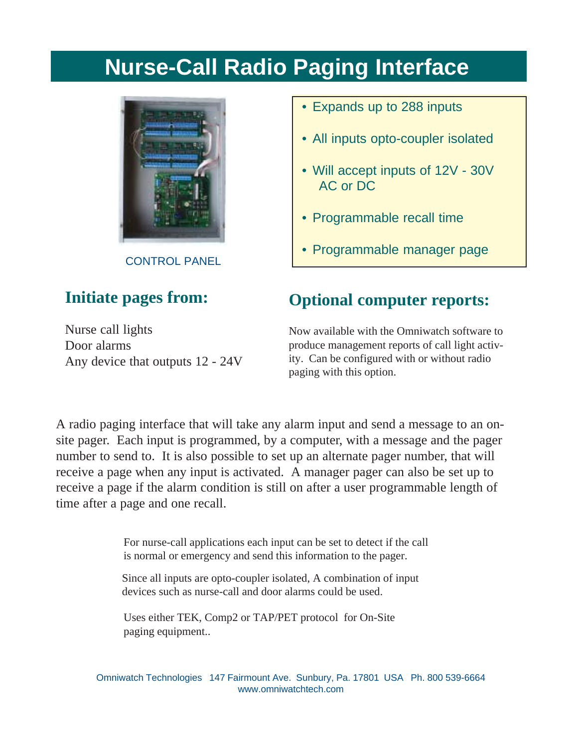# **Nurse-Call Radio Paging Interface**



CONTROL PANEL

#### **Initiate pages from:**

Nurse call lights Door alarms Any device that outputs 12 - 24V

- Expands up to 288 inputs
- All inputs opto-coupler isolated
- Will accept inputs of 12V 30V AC or DC
- Programmable recall time
- Programmable manager page

### **Optional computer reports:**

Now available with the Omniwatch software to produce management reports of call light activity. Can be configured with or without radio paging with this option.

A radio paging interface that will take any alarm input and send a message to an onsite pager. Each input is programmed, by a computer, with a message and the pager number to send to. It is also possible to set up an alternate pager number, that will receive a page when any input is activated. A manager pager can also be set up to receive a page if the alarm condition is still on after a user programmable length of time after a page and one recall.

> For nurse-call applications each input can be set to detect if the call is normal or emergency and send this information to the pager.

Since all inputs are opto-coupler isolated, A combination of input devices such as nurse-call and door alarms could be used.

Uses either TEK, Comp2 or TAP/PET protocol for On-Site paging equipment..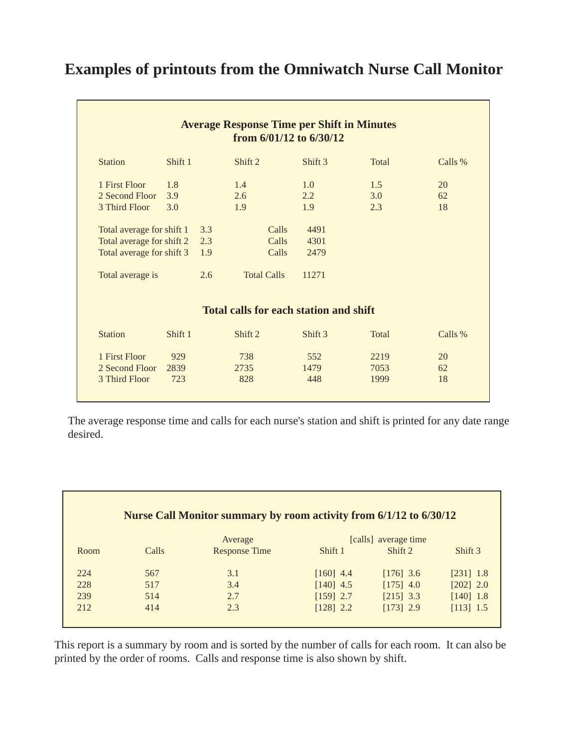#### **Examples of printouts from the Omniwatch Nurse Call Monitor**

|                           |         |     | from $6/01/12$ to $6/30/12$                   |         |              |         |
|---------------------------|---------|-----|-----------------------------------------------|---------|--------------|---------|
| <b>Station</b>            | Shift 1 |     | Shift 2                                       | Shift 3 | <b>Total</b> | Calls % |
| 1 First Floor             | 1.8     |     | 1.4                                           | 1.0     | 1.5          | 20      |
| 2 Second Floor            | 3.9     |     | 2.6                                           | 2.2     | 3.0          | 62      |
| 3 Third Floor             | 3.0     |     | 1.9                                           | 1.9     | 2.3          | 18      |
| Total average for shift 1 |         | 3.3 | Calls                                         | 4491    |              |         |
| Total average for shift 2 |         | 2.3 | Calls                                         | 4301    |              |         |
| Total average for shift 3 |         | 1.9 | Calls                                         | 2479    |              |         |
| Total average is          |         | 2.6 | <b>Total Calls</b>                            | 11271   |              |         |
|                           |         |     | <b>Total calls for each station and shift</b> |         |              |         |
| <b>Station</b>            | Shift 1 |     | Shift 2                                       | Shift 3 | <b>Total</b> | Calls % |
| 1 First Floor             | 929     |     | 738                                           | 552     | 2219         | 20      |
| 2 Second Floor            | 2839    |     | 2735                                          | 1479    | 7053         | 62      |
| 3 Third Floor             | 723     |     | 828                                           | 448     | 1999         | 18      |

The average response time and calls for each nurse's station and shift is printed for any date range desired.

| Nurse Call Monitor summary by room activity from 6/1/12 to 6/30/12 |       |                      |                      |             |             |  |
|--------------------------------------------------------------------|-------|----------------------|----------------------|-------------|-------------|--|
|                                                                    |       | Average              | [calls] average time |             |             |  |
| Room                                                               | Calls | <b>Response Time</b> | Shift 1              | Shift 2     | Shift 3     |  |
| 224                                                                | 567   | 3.1                  | $[160]$ 4.4          | $[176]$ 3.6 | $[231]$ 1.8 |  |
| 228                                                                | 517   | 3.4                  | $[140]$ 4.5          | $[175]$ 4.0 | $[202]$ 2.0 |  |
| 239                                                                | 514   | 2.7                  | $[159]$ 2.7          | $[215]$ 3.3 | $[140]$ 1.8 |  |
| 212                                                                | 414   | 2.3                  | $[128]$ 2.2          | $[173]$ 2.9 | $[113]$ 1.5 |  |

This report is a summary by room and is sorted by the number of calls for each room. It can also be printed by the order of rooms. Calls and response time is also shown by shift.